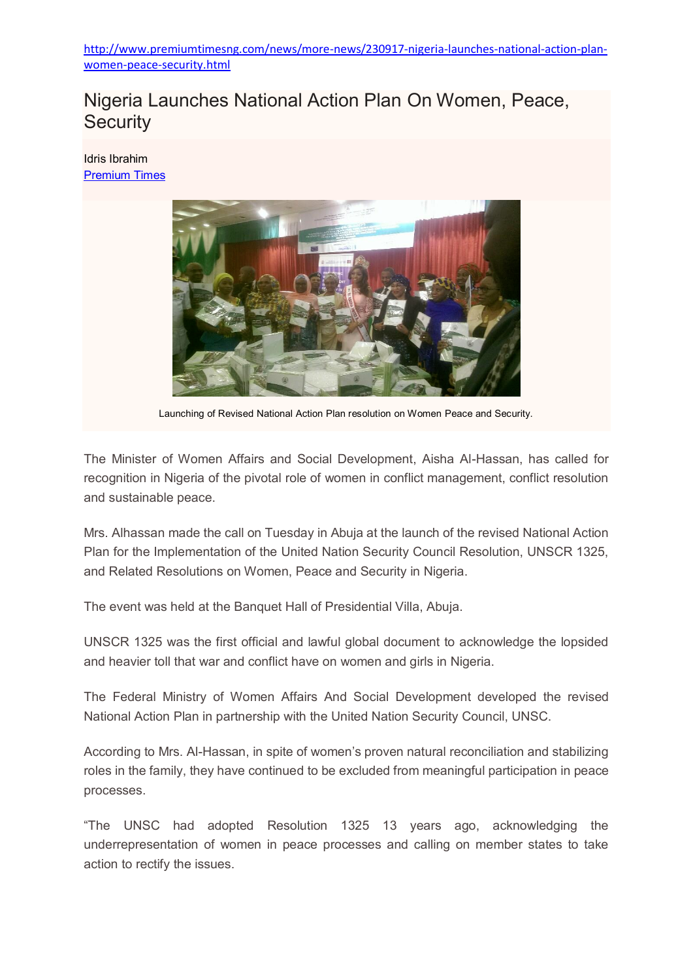[http://www.premiumtimesng.com/news/more-news/230917-nigeria-launches-national-action-plan](http://www.premiumtimesng.com/news/more-news/230917-nigeria-launches-national-action-plan-women-peace-security.html)[women-peace-security.html](http://www.premiumtimesng.com/news/more-news/230917-nigeria-launches-national-action-plan-women-peace-security.html)

## Nigeria Launches National Action Plan On Women, Peace, **Security**

Idris Ibrahim [Premium](http://www.premiumtimesng.com/news/more-news/230917-nigeria-launches-national-action-plan-women-peace-security.html) Times



Launching of Revised National Action Plan resolution on Women Peace and Security.

The Minister of Women Affairs and Social Development, Aisha Al-Hassan, has called for recognition in Nigeria of the pivotal role of women in conflict management, conflict resolution and sustainable peace.

Mrs. Alhassan made the call on Tuesday in Abuja at the launch of the revised National Action Plan for the Implementation of the United Nation Security Council Resolution, UNSCR 1325, and Related Resolutions on Women, Peace and Security in Nigeria.

The event was held at the Banquet Hall of Presidential Villa, Abuja.

UNSCR 1325 was the first official and lawful global document to acknowledge the lopsided and heavier toll that war and conflict have on women and girls in Nigeria.

The Federal Ministry of Women Affairs And Social Development developed the revised National Action Plan in partnership with the United Nation Security Council, UNSC.

According to Mrs. Al-Hassan, in spite of women's proven natural reconciliation and stabilizing roles in the family, they have continued to be excluded from meaningful participation in peace processes.

"The UNSC had adopted Resolution 1325 13 years ago, acknowledging the underrepresentation of women in peace processes and calling on member states to take action to rectify the issues.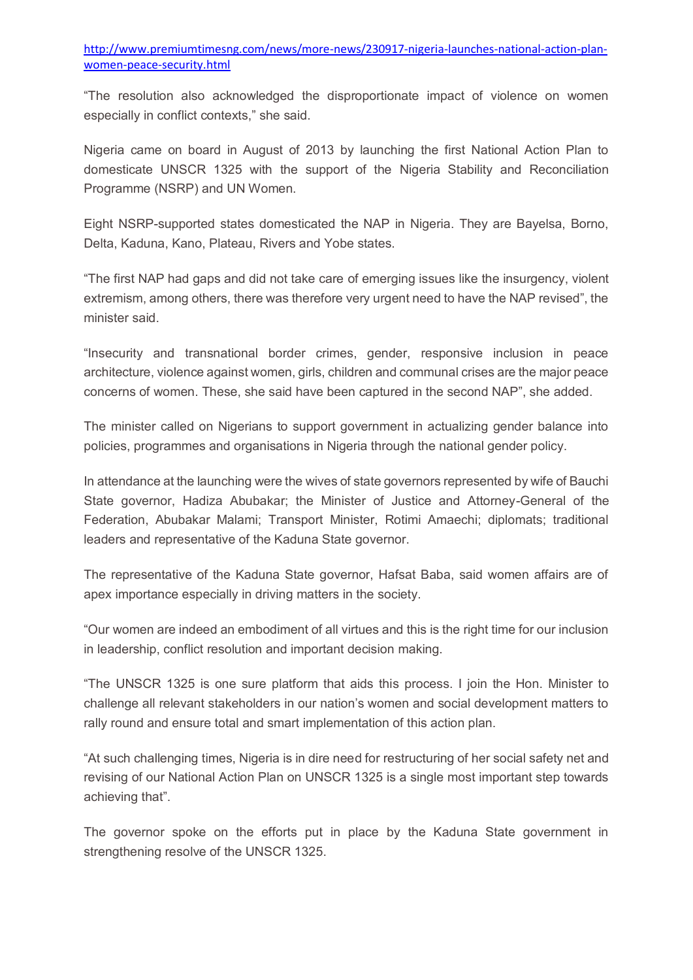[http://www.premiumtimesng.com/news/more-news/230917-nigeria-launches-national-action-plan](http://www.premiumtimesng.com/news/more-news/230917-nigeria-launches-national-action-plan-women-peace-security.html)[women-peace-security.html](http://www.premiumtimesng.com/news/more-news/230917-nigeria-launches-national-action-plan-women-peace-security.html)

"The resolution also acknowledged the disproportionate impact of violence on women especially in conflict contexts," she said.

Nigeria came on board in August of 2013 by launching the first National Action Plan to domesticate UNSCR 1325 with the support of the Nigeria Stability and Reconciliation Programme (NSRP) and UN Women.

Eight NSRP-supported states domesticated the NAP in Nigeria. They are Bayelsa, Borno, Delta, Kaduna, Kano, Plateau, Rivers and Yobe states.

"The first NAP had gaps and did not take care of emerging issues like the insurgency, violent extremism, among others, there was therefore very urgent need to have the NAP revised", the minister said.

"Insecurity and transnational border crimes, gender, responsive inclusion in peace architecture, violence against women, girls, children and communal crises are the major peace concerns of women. These, she said have been captured in the second NAP", she added.

The minister called on Nigerians to support government in actualizing gender balance into policies, programmes and organisations in Nigeria through the national gender policy.

In attendance at the launching were the wives of state governors represented by wife of Bauchi State governor, Hadiza Abubakar; the Minister of Justice and Attorney-General of the Federation, Abubakar Malami; Transport Minister, Rotimi Amaechi; diplomats; traditional leaders and representative of the Kaduna State governor.

The representative of the Kaduna State governor, Hafsat Baba, said women affairs are of apex importance especially in driving matters in the society.

"Our women are indeed an embodiment of all virtues and this is the right time for our inclusion in leadership, conflict resolution and important decision making.

"The UNSCR 1325 is one sure platform that aids this process. I join the Hon. Minister to challenge all relevant stakeholders in our nation's women and social development matters to rally round and ensure total and smart implementation of this action plan.

"At such challenging times, Nigeria is in dire need for restructuring of her social safety net and revising of our National Action Plan on UNSCR 1325 is a single most important step towards achieving that".

The governor spoke on the efforts put in place by the Kaduna State government in strengthening resolve of the UNSCR 1325.